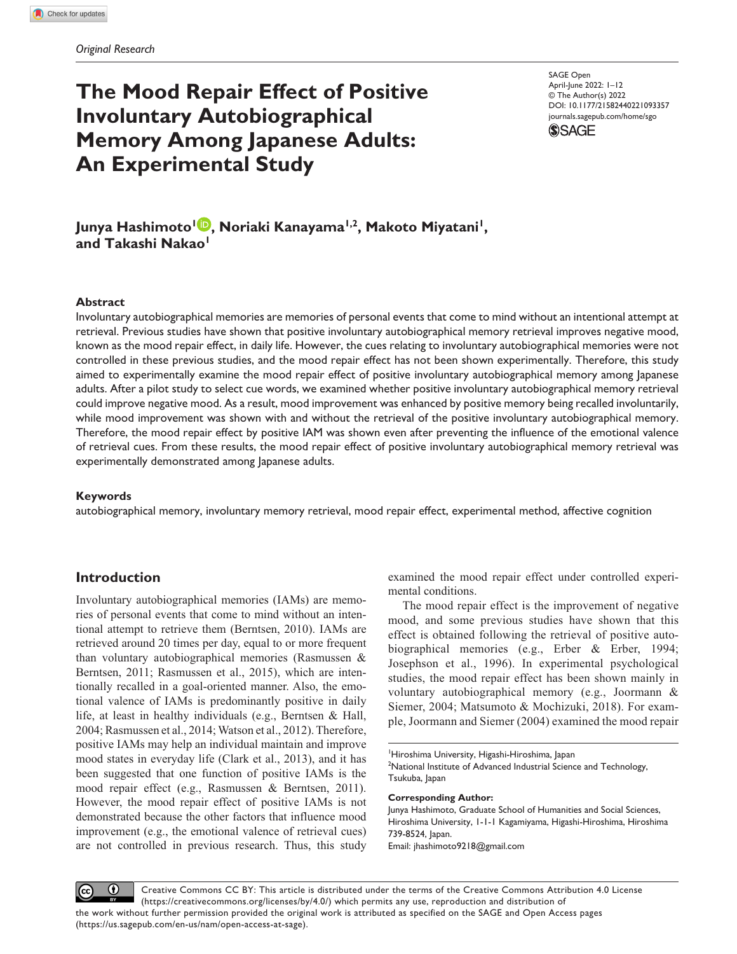# **The Mood Repair Effect of Positive Involuntary Autobiographical Memory Among Japanese Adults: An Experimental Study**

DOI: 10.1177/21582440221093357 SAGE Open April-June 2022: 1–12 © The Author(s) 2022 [journals.sagepub.com/home/sgo](https://journals.sagepub.com/home/sgo)



**Junya Hashimoto1 , Noriaki Kanayama1,2, Makoto Miyatani1, and Takashi Nakao1**

#### **Abstract**

Involuntary autobiographical memories are memories of personal events that come to mind without an intentional attempt at retrieval. Previous studies have shown that positive involuntary autobiographical memory retrieval improves negative mood, known as the mood repair effect, in daily life. However, the cues relating to involuntary autobiographical memories were not controlled in these previous studies, and the mood repair effect has not been shown experimentally. Therefore, this study aimed to experimentally examine the mood repair effect of positive involuntary autobiographical memory among Japanese adults. After a pilot study to select cue words, we examined whether positive involuntary autobiographical memory retrieval could improve negative mood. As a result, mood improvement was enhanced by positive memory being recalled involuntarily, while mood improvement was shown with and without the retrieval of the positive involuntary autobiographical memory. Therefore, the mood repair effect by positive IAM was shown even after preventing the influence of the emotional valence of retrieval cues. From these results, the mood repair effect of positive involuntary autobiographical memory retrieval was experimentally demonstrated among Japanese adults.

## **Keywords**

autobiographical memory, involuntary memory retrieval, mood repair effect, experimental method, affective cognition

# **Introduction**

Involuntary autobiographical memories (IAMs) are memories of personal events that come to mind without an intentional attempt to retrieve them (Berntsen, 2010). IAMs are retrieved around 20 times per day, equal to or more frequent than voluntary autobiographical memories (Rasmussen & Berntsen, 2011; Rasmussen et al., 2015), which are intentionally recalled in a goal-oriented manner. Also, the emotional valence of IAMs is predominantly positive in daily life, at least in healthy individuals (e.g., Berntsen & Hall, 2004; Rasmussen et al., 2014; Watson et al., 2012). Therefore, positive IAMs may help an individual maintain and improve mood states in everyday life (Clark et al., 2013), and it has been suggested that one function of positive IAMs is the mood repair effect (e.g., Rasmussen & Berntsen, 2011). However, the mood repair effect of positive IAMs is not demonstrated because the other factors that influence mood improvement (e.g., the emotional valence of retrieval cues) are not controlled in previous research. Thus, this study examined the mood repair effect under controlled experimental conditions.

The mood repair effect is the improvement of negative mood, and some previous studies have shown that this effect is obtained following the retrieval of positive autobiographical memories (e.g., Erber & Erber, 1994; Josephson et al., 1996). In experimental psychological studies, the mood repair effect has been shown mainly in voluntary autobiographical memory (e.g., Joormann & Siemer, 2004; Matsumoto & Mochizuki, 2018). For example, Joormann and Siemer (2004) examined the mood repair

1 Hiroshima University, Higashi-Hiroshima, Japan <sup>2</sup>National Institute of Advanced Industrial Science and Technology, Tsukuba, Japan

#### **Corresponding Author:**

Junya Hashimoto, Graduate School of Humanities and Social Sciences, Hiroshima University, 1-1-1 Kagamiyama, Higashi-Hiroshima, Hiroshima 739-8524, Japan.

Email: [jhashimoto9218@gmail.com](mailto:jhashimoto9218@gmail.com)

 $\bf \odot$ Creative Commons CC BY: This article is distributed under the terms of the Creative Commons Attribution 4.0 License  $(cc)$ (https://creativecommons.org/licenses/by/4.0/) which permits any use, reproduction and distribution of the work without further permission provided the original work is attributed as specified on the SAGE and Open Access pages (https://us.sagepub.com/en-us/nam/open-access-at-sage).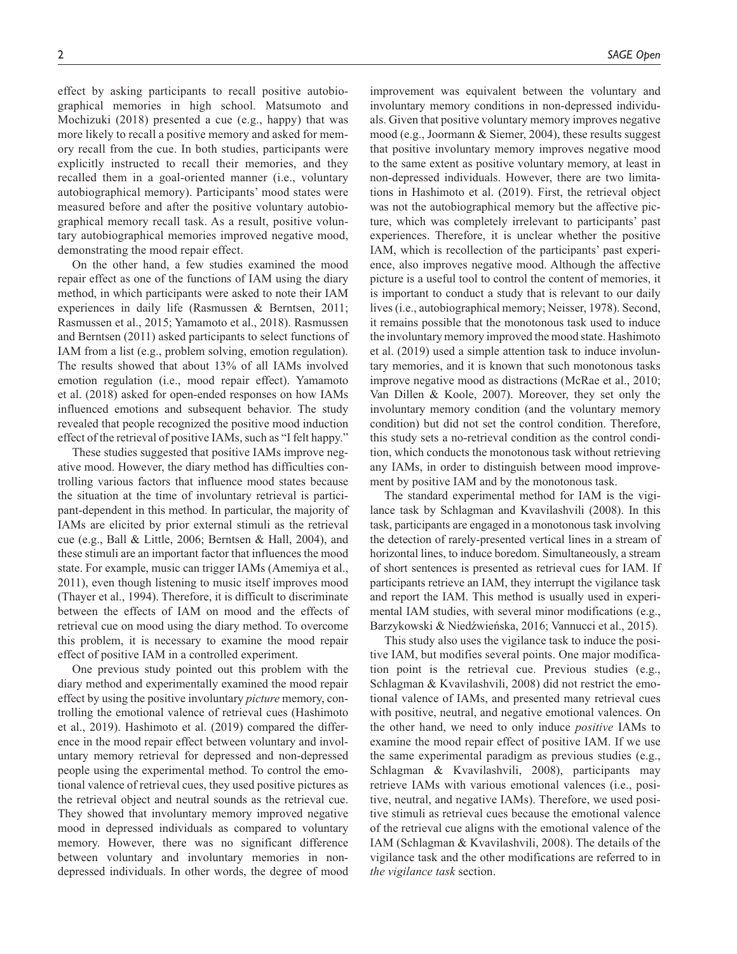effect by asking participants to recall positive autobiographical memories in high school. Matsumoto and Mochizuki (2018) presented a cue (e.g., happy) that was more likely to recall a positive memory and asked for memory recall from the cue. In both studies, participants were explicitly instructed to recall their memories, and they recalled them in a goal-oriented manner (i.e., voluntary autobiographical memory). Participants' mood states were measured before and after the positive voluntary autobiographical memory recall task. As a result, positive voluntary autobiographical memories improved negative mood, demonstrating the mood repair effect.

On the other hand, a few studies examined the mood repair effect as one of the functions of IAM using the diary method, in which participants were asked to note their IAM experiences in daily life (Rasmussen & Berntsen, 2011; Rasmussen et al., 2015; Yamamoto et al., 2018). Rasmussen and Berntsen (2011) asked participants to select functions of IAM from a list (e.g., problem solving, emotion regulation). The results showed that about 13% of all IAMs involved emotion regulation (i.e., mood repair effect). Yamamoto et al. (2018) asked for open-ended responses on how IAMs influenced emotions and subsequent behavior. The study revealed that people recognized the positive mood induction effect of the retrieval of positive IAMs, such as "I felt happy."

These studies suggested that positive IAMs improve negative mood. However, the diary method has difficulties controlling various factors that influence mood states because the situation at the time of involuntary retrieval is participant-dependent in this method. In particular, the majority of IAMs are elicited by prior external stimuli as the retrieval cue (e.g., Ball & Little, 2006; Berntsen & Hall, 2004), and these stimuli are an important factor that influences the mood state. For example, music can trigger IAMs (Amemiya et al., 2011), even though listening to music itself improves mood (Thayer et al., 1994). Therefore, it is difficult to discriminate between the effects of IAM on mood and the effects of retrieval cue on mood using the diary method. To overcome this problem, it is necessary to examine the mood repair effect of positive IAM in a controlled experiment.

One previous study pointed out this problem with the diary method and experimentally examined the mood repair effect by using the positive involuntary *picture* memory, controlling the emotional valence of retrieval cues (Hashimoto et al., 2019). Hashimoto et al. (2019) compared the difference in the mood repair effect between voluntary and involuntary memory retrieval for depressed and non-depressed people using the experimental method. To control the emotional valence of retrieval cues, they used positive pictures as the retrieval object and neutral sounds as the retrieval cue. They showed that involuntary memory improved negative mood in depressed individuals as compared to voluntary memory. However, there was no significant difference between voluntary and involuntary memories in nondepressed individuals. In other words, the degree of mood

improvement was equivalent between the voluntary and involuntary memory conditions in non-depressed individuals. Given that positive voluntary memory improves negative mood (e.g., Joormann & Siemer, 2004), these results suggest that positive involuntary memory improves negative mood to the same extent as positive voluntary memory, at least in non-depressed individuals. However, there are two limitations in Hashimoto et al. (2019). First, the retrieval object was not the autobiographical memory but the affective picture, which was completely irrelevant to participants' past experiences. Therefore, it is unclear whether the positive IAM, which is recollection of the participants' past experience, also improves negative mood. Although the affective picture is a useful tool to control the content of memories, it is important to conduct a study that is relevant to our daily lives (i.e., autobiographical memory; Neisser, 1978). Second, it remains possible that the monotonous task used to induce the involuntary memory improved the mood state. Hashimoto et al. (2019) used a simple attention task to induce involuntary memories, and it is known that such monotonous tasks improve negative mood as distractions (McRae et al., 2010; Van Dillen & Koole, 2007). Moreover, they set only the involuntary memory condition (and the voluntary memory condition) but did not set the control condition. Therefore, this study sets a no-retrieval condition as the control condition, which conducts the monotonous task without retrieving any IAMs, in order to distinguish between mood improvement by positive IAM and by the monotonous task.

The standard experimental method for IAM is the vigilance task by Schlagman and Kvavilashvili (2008). In this task, participants are engaged in a monotonous task involving the detection of rarely-presented vertical lines in a stream of horizontal lines, to induce boredom. Simultaneously, a stream of short sentences is presented as retrieval cues for IAM. If participants retrieve an IAM, they interrupt the vigilance task and report the IAM. This method is usually used in experimental IAM studies, with several minor modifications (e.g., Barzykowski & Niedźwieńska, 2016; Vannucci et al., 2015).

This study also uses the vigilance task to induce the positive IAM, but modifies several points. One major modification point is the retrieval cue. Previous studies (e.g., Schlagman & Kvavilashvili, 2008) did not restrict the emotional valence of IAMs, and presented many retrieval cues with positive, neutral, and negative emotional valences. On the other hand, we need to only induce *positive* IAMs to examine the mood repair effect of positive IAM. If we use the same experimental paradigm as previous studies (e.g., Schlagman & Kvavilashvili, 2008), participants may retrieve IAMs with various emotional valences (i.e., positive, neutral, and negative IAMs). Therefore, we used positive stimuli as retrieval cues because the emotional valence of the retrieval cue aligns with the emotional valence of the IAM (Schlagman & Kvavilashvili, 2008). The details of the vigilance task and the other modifications are referred to in *the vigilance task* section.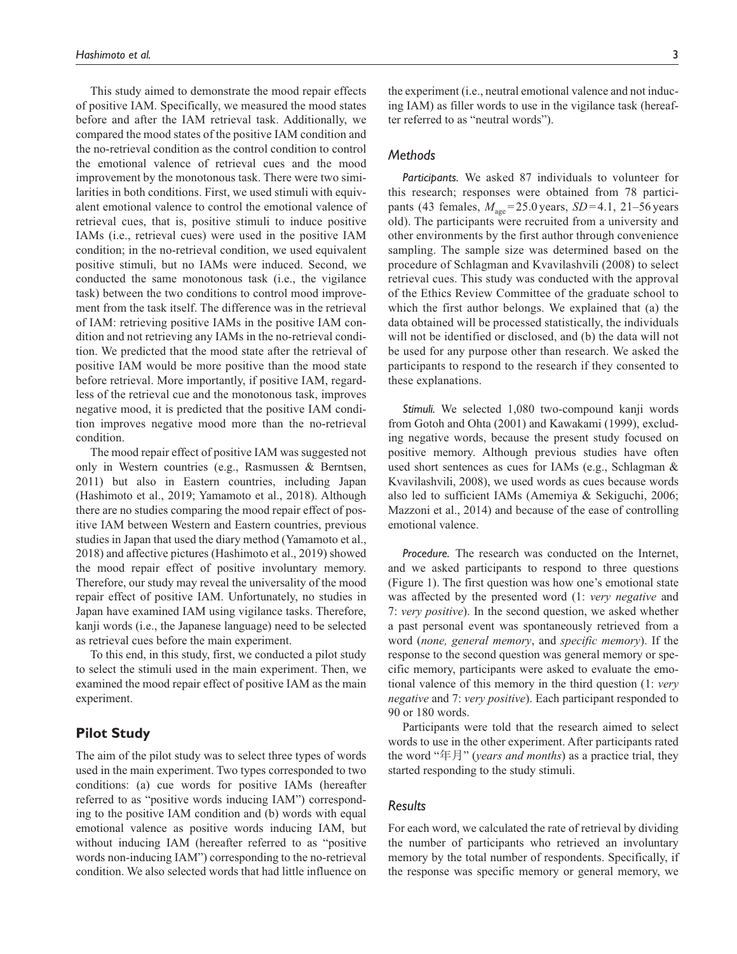This study aimed to demonstrate the mood repair effects of positive IAM. Specifically, we measured the mood states before and after the IAM retrieval task. Additionally, we compared the mood states of the positive IAM condition and the no-retrieval condition as the control condition to control the emotional valence of retrieval cues and the mood improvement by the monotonous task. There were two similarities in both conditions. First, we used stimuli with equivalent emotional valence to control the emotional valence of retrieval cues, that is, positive stimuli to induce positive IAMs (i.e., retrieval cues) were used in the positive IAM condition; in the no-retrieval condition, we used equivalent positive stimuli, but no IAMs were induced. Second, we conducted the same monotonous task (i.e., the vigilance task) between the two conditions to control mood improvement from the task itself. The difference was in the retrieval of IAM: retrieving positive IAMs in the positive IAM condition and not retrieving any IAMs in the no-retrieval condition. We predicted that the mood state after the retrieval of positive IAM would be more positive than the mood state before retrieval. More importantly, if positive IAM, regardless of the retrieval cue and the monotonous task, improves negative mood, it is predicted that the positive IAM condition improves negative mood more than the no-retrieval condition.

The mood repair effect of positive IAM was suggested not only in Western countries (e.g., Rasmussen & Berntsen, 2011) but also in Eastern countries, including Japan (Hashimoto et al., 2019; Yamamoto et al., 2018). Although there are no studies comparing the mood repair effect of positive IAM between Western and Eastern countries, previous studies in Japan that used the diary method (Yamamoto et al., 2018) and affective pictures (Hashimoto et al., 2019) showed the mood repair effect of positive involuntary memory. Therefore, our study may reveal the universality of the mood repair effect of positive IAM. Unfortunately, no studies in Japan have examined IAM using vigilance tasks. Therefore, kanji words (i.e., the Japanese language) need to be selected as retrieval cues before the main experiment.

To this end, in this study, first, we conducted a pilot study to select the stimuli used in the main experiment. Then, we examined the mood repair effect of positive IAM as the main experiment.

# **Pilot Study**

The aim of the pilot study was to select three types of words used in the main experiment. Two types corresponded to two conditions: (a) cue words for positive IAMs (hereafter referred to as "positive words inducing IAM") corresponding to the positive IAM condition and (b) words with equal emotional valence as positive words inducing IAM, but without inducing IAM (hereafter referred to as "positive words non-inducing IAM") corresponding to the no-retrieval condition. We also selected words that had little influence on

the experiment (i.e., neutral emotional valence and not inducing IAM) as filler words to use in the vigilance task (hereafter referred to as "neutral words").

## *Methods*

*Participants.* We asked 87 individuals to volunteer for this research; responses were obtained from 78 participants (43 females,  $M_{\text{age}} = 25.0 \,\text{years}$ ,  $SD = 4.1$ , 21–56 years old). The participants were recruited from a university and other environments by the first author through convenience sampling. The sample size was determined based on the procedure of Schlagman and Kvavilashvili (2008) to select retrieval cues. This study was conducted with the approval of the Ethics Review Committee of the graduate school to which the first author belongs. We explained that (a) the data obtained will be processed statistically, the individuals will not be identified or disclosed, and (b) the data will not be used for any purpose other than research. We asked the participants to respond to the research if they consented to these explanations.

*Stimuli.* We selected 1,080 two-compound kanji words from Gotoh and Ohta (2001) and Kawakami (1999), excluding negative words, because the present study focused on positive memory. Although previous studies have often used short sentences as cues for IAMs (e.g., Schlagman & Kvavilashvili, 2008), we used words as cues because words also led to sufficient IAMs (Amemiya & Sekiguchi, 2006; Mazzoni et al., 2014) and because of the ease of controlling emotional valence.

*Procedure.* The research was conducted on the Internet, and we asked participants to respond to three questions (Figure 1). The first question was how one's emotional state was affected by the presented word (1: *very negative* and 7: *very positive*). In the second question, we asked whether a past personal event was spontaneously retrieved from a word (*none, general memory*, and *specific memory*). If the response to the second question was general memory or specific memory, participants were asked to evaluate the emotional valence of this memory in the third question (1: *very negative* and 7: *very positive*). Each participant responded to 90 or 180 words.

Participants were told that the research aimed to select words to use in the other experiment. After participants rated the word "年月" (*years and months*) as a practice trial, they started responding to the study stimuli.

## *Results*

For each word, we calculated the rate of retrieval by dividing the number of participants who retrieved an involuntary memory by the total number of respondents. Specifically, if the response was specific memory or general memory, we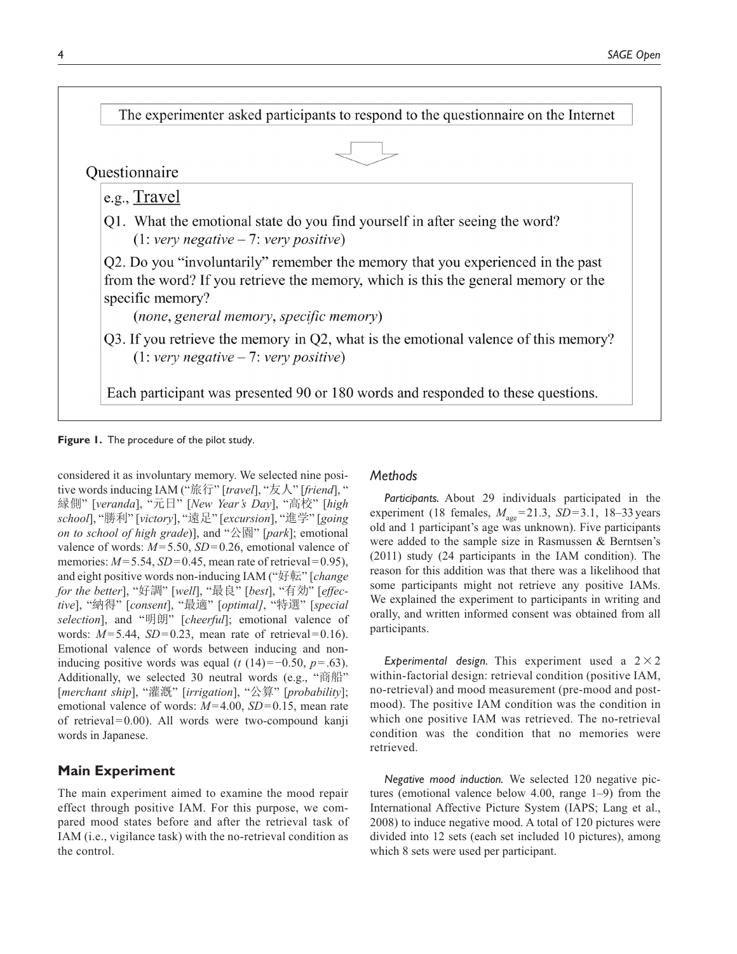

**Figure 1.** The procedure of the pilot study.

considered it as involuntary memory. We selected nine positive words inducing IAM ("旅行" [*travel*], "友人" [*friend*], " 縁側" [*veranda*], "元日" [*New Year's Day*], "高校" [*high school*], "勝利" [*victory*], "遠足" [*excursion*], "進学" [*going on to school of high grade*)], and "公園" [*park*]; emotional valence of words: *M*=5.50, *SD*=0.26, emotional valence of memories:  $M = 5.54$ ,  $SD = 0.45$ , mean rate of retrieval = 0.95), and eight positive words non-inducing IAM ("好転" [*change for the better*], "好調" [*well*], "最良" [*best*], "有効" [*effective*], "納得" [*consent*], "最適" [*optimal]*, "特選" [*special selection*], and "明朗" [*cheerful*]; emotional valence of words:  $M=5.44$ ,  $SD=0.23$ , mean rate of retrieval = 0.16). Emotional valence of words between inducing and noninducing positive words was equal ( $t$  (14)=−0.50,  $p$ =.63). Additionally, we selected 30 neutral words (e.g., "商船" [*merchant ship*], "灌漑" [*irrigation*], "公算" [*probability*]; emotional valence of words:  $M=4.00$ ,  $SD=0.15$ , mean rate of retrieval=0.00). All words were two-compound kanji words in Japanese.

# **Main Experiment**

The main experiment aimed to examine the mood repair effect through positive IAM. For this purpose, we compared mood states before and after the retrieval task of IAM (i.e., vigilance task) with the no-retrieval condition as the control.

## *Methods*

*Participants.* About 29 individuals participated in the experiment (18 females,  $M_{\text{age}} = 21.3$ ,  $SD = 3.1$ , 18–33 years old and 1 participant's age was unknown). Five participants were added to the sample size in Rasmussen & Berntsen's (2011) study (24 participants in the IAM condition). The reason for this addition was that there was a likelihood that some participants might not retrieve any positive IAMs. We explained the experiment to participants in writing and orally, and written informed consent was obtained from all participants.

*Experimental design.* This experiment used a  $2 \times 2$ within-factorial design: retrieval condition (positive IAM, no-retrieval) and mood measurement (pre-mood and postmood). The positive IAM condition was the condition in which one positive IAM was retrieved. The no-retrieval condition was the condition that no memories were retrieved.

*Negative mood induction.* We selected 120 negative pictures (emotional valence below 4.00, range 1–9) from the International Affective Picture System (IAPS; Lang et al., 2008) to induce negative mood. A total of 120 pictures were divided into 12 sets (each set included 10 pictures), among which 8 sets were used per participant.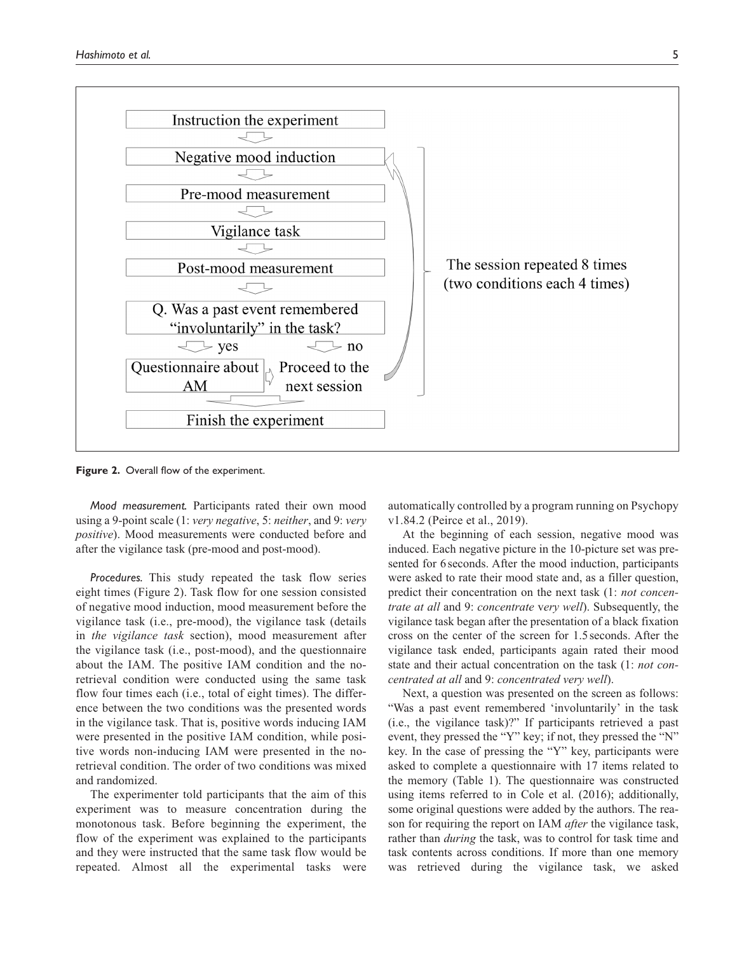

**Figure 2.** Overall flow of the experiment.

*Mood measurement.* Participants rated their own mood using a 9-point scale (1: *very negative*, 5: *neither*, and 9: *very positive*). Mood measurements were conducted before and after the vigilance task (pre-mood and post-mood).

*Procedures.* This study repeated the task flow series eight times (Figure 2). Task flow for one session consisted of negative mood induction, mood measurement before the vigilance task (i.e., pre-mood), the vigilance task (details in *the vigilance task* section), mood measurement after the vigilance task (i.e., post-mood), and the questionnaire about the IAM. The positive IAM condition and the noretrieval condition were conducted using the same task flow four times each (i.e., total of eight times). The difference between the two conditions was the presented words in the vigilance task. That is, positive words inducing IAM were presented in the positive IAM condition, while positive words non-inducing IAM were presented in the noretrieval condition. The order of two conditions was mixed and randomized.

The experimenter told participants that the aim of this experiment was to measure concentration during the monotonous task. Before beginning the experiment, the flow of the experiment was explained to the participants and they were instructed that the same task flow would be repeated. Almost all the experimental tasks were

automatically controlled by a program running on Psychopy v1.84.2 (Peirce et al., 2019).

At the beginning of each session, negative mood was induced. Each negative picture in the 10-picture set was presented for 6seconds. After the mood induction, participants were asked to rate their mood state and, as a filler question, predict their concentration on the next task (1: *not concentrate at all* and 9: *concentrate* v*ery well*). Subsequently, the vigilance task began after the presentation of a black fixation cross on the center of the screen for 1.5seconds. After the vigilance task ended, participants again rated their mood state and their actual concentration on the task (1: *not concentrated at all* and 9: *concentrated very well*).

Next, a question was presented on the screen as follows: "Was a past event remembered 'involuntarily' in the task (i.e., the vigilance task)?" If participants retrieved a past event, they pressed the "Y" key; if not, they pressed the "N" key. In the case of pressing the "Y" key, participants were asked to complete a questionnaire with 17 items related to the memory (Table 1). The questionnaire was constructed using items referred to in Cole et al. (2016); additionally, some original questions were added by the authors. The reason for requiring the report on IAM *after* the vigilance task, rather than *during* the task, was to control for task time and task contents across conditions. If more than one memory was retrieved during the vigilance task, we asked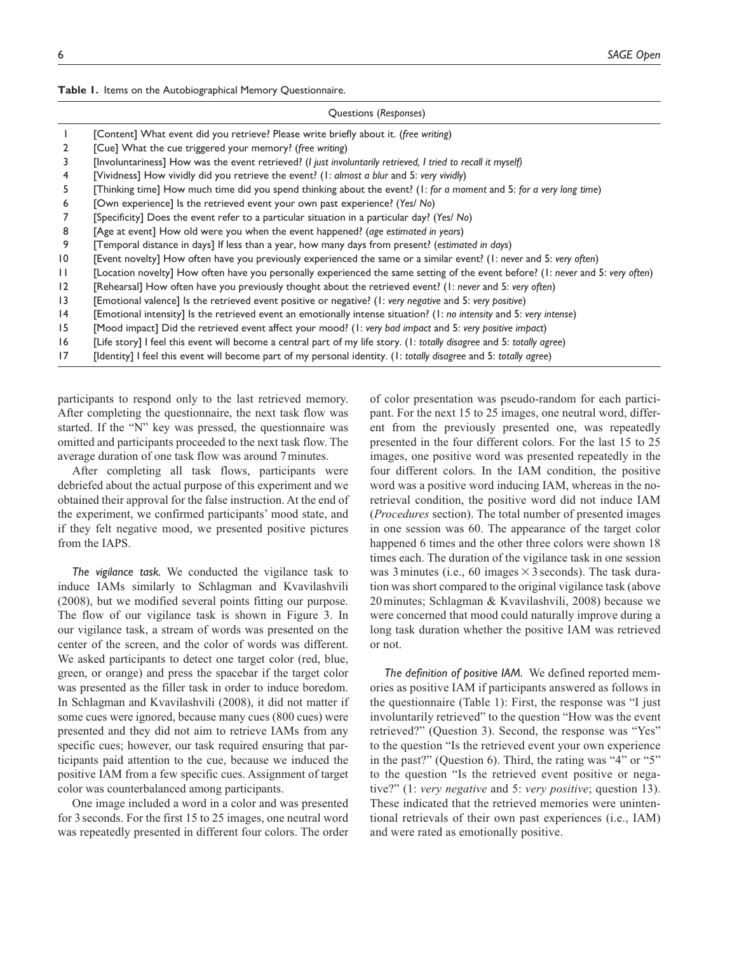|  |  |  | Table I. Items on the Autobiographical Memory Questionnaire. |  |  |
|--|--|--|--------------------------------------------------------------|--|--|
|--|--|--|--------------------------------------------------------------|--|--|

#### Questions (*Responses*)

|                 | [Content] What event did you retrieve? Please write briefly about it. (free writing)                                            |
|-----------------|---------------------------------------------------------------------------------------------------------------------------------|
| $\overline{2}$  | [Cue] What the cue triggered your memory? (free writing)                                                                        |
| 3               | [Involuntariness] How was the event retrieved? (I just involuntarily retrieved, I tried to recall it myself)                    |
| 4               | [Vividness] How vividly did you retrieve the event? (I: almost a blur and 5: very vividly)                                      |
| 5.              | [Thinking time] How much time did you spend thinking about the event? (1: for a moment and 5: for a very long time)             |
| 6               | [Own experience] Is the retrieved event your own past experience? (Yes/ No)                                                     |
|                 | [Specificity] Does the event refer to a particular situation in a particular day? (Yes/No)                                      |
| 8               | [Age at event] How old were you when the event happened? (age estimated in years)                                               |
| 9               | [Temporal distance in days] If less than a year, how many days from present? (estimated in days)                                |
| 10              | [Event novelty] How often have you previously experienced the same or a similar event? (I: never and 5: very often)             |
| $\mathsf{L}$    | [Location novelty] How often have you personally experienced the same setting of the event before? (I: never and 5: very often) |
| $\overline{2}$  | [Rehearsal] How often have you previously thought about the retrieved event? (I: never and 5: very often)                       |
| 13              | [Emotional valence] Is the retrieved event positive or negative? (I: very negative and 5: very positive)                        |
| $\overline{14}$ | [Emotional intensity] Is the retrieved event an emotionally intense situation? (1: no intensity and 5: very intense)            |
| 15              | [Mood impact] Did the retrieved event affect your mood? (I: very bad impact and 5: very positive impact)                        |
| 16              | [Life story] I feel this event will become a central part of my life story. (I: totally disagree and 5: totally agree)          |
| 17              | [Identity] I feel this event will become part of my personal identity. (I: totally disagree and 5: totally agree)               |
|                 |                                                                                                                                 |
|                 |                                                                                                                                 |

participants to respond only to the last retrieved memory. After completing the questionnaire, the next task flow was started. If the "N" key was pressed, the questionnaire was omitted and participants proceeded to the next task flow. The average duration of one task flow was around 7minutes.

After completing all task flows, participants were debriefed about the actual purpose of this experiment and we obtained their approval for the false instruction. At the end of the experiment, we confirmed participants' mood state, and if they felt negative mood, we presented positive pictures from the IAPS.

*The vigilance task.* We conducted the vigilance task to induce IAMs similarly to Schlagman and Kvavilashvili (2008), but we modified several points fitting our purpose. The flow of our vigilance task is shown in Figure 3. In our vigilance task, a stream of words was presented on the center of the screen, and the color of words was different. We asked participants to detect one target color (red, blue, green, or orange) and press the spacebar if the target color was presented as the filler task in order to induce boredom. In Schlagman and Kvavilashvili (2008), it did not matter if some cues were ignored, because many cues (800 cues) were presented and they did not aim to retrieve IAMs from any specific cues; however, our task required ensuring that participants paid attention to the cue, because we induced the positive IAM from a few specific cues. Assignment of target color was counterbalanced among participants.

One image included a word in a color and was presented for 3 seconds. For the first 15 to 25 images, one neutral word was repeatedly presented in different four colors. The order of color presentation was pseudo-random for each participant. For the next 15 to 25 images, one neutral word, different from the previously presented one, was repeatedly presented in the four different colors. For the last 15 to 25 images, one positive word was presented repeatedly in the four different colors. In the IAM condition, the positive word was a positive word inducing IAM, whereas in the noretrieval condition, the positive word did not induce IAM (*Procedures* section). The total number of presented images in one session was 60. The appearance of the target color happened 6 times and the other three colors were shown 18 times each. The duration of the vigilance task in one session was 3 minutes (i.e., 60 images  $\times$  3 seconds). The task duration was short compared to the original vigilance task (above 20minutes; Schlagman & Kvavilashvili, 2008) because we were concerned that mood could naturally improve during a long task duration whether the positive IAM was retrieved or not.

*The definition of positive IAM.* We defined reported memories as positive IAM if participants answered as follows in the questionnaire (Table 1): First, the response was "I just involuntarily retrieved" to the question "How was the event retrieved?" (Question 3). Second, the response was "Yes" to the question "Is the retrieved event your own experience in the past?" (Question 6). Third, the rating was "4" or "5" to the question "Is the retrieved event positive or negative?" (1: *very negative* and 5: *very positive*; question 13). These indicated that the retrieved memories were unintentional retrievals of their own past experiences (i.e., IAM) and were rated as emotionally positive.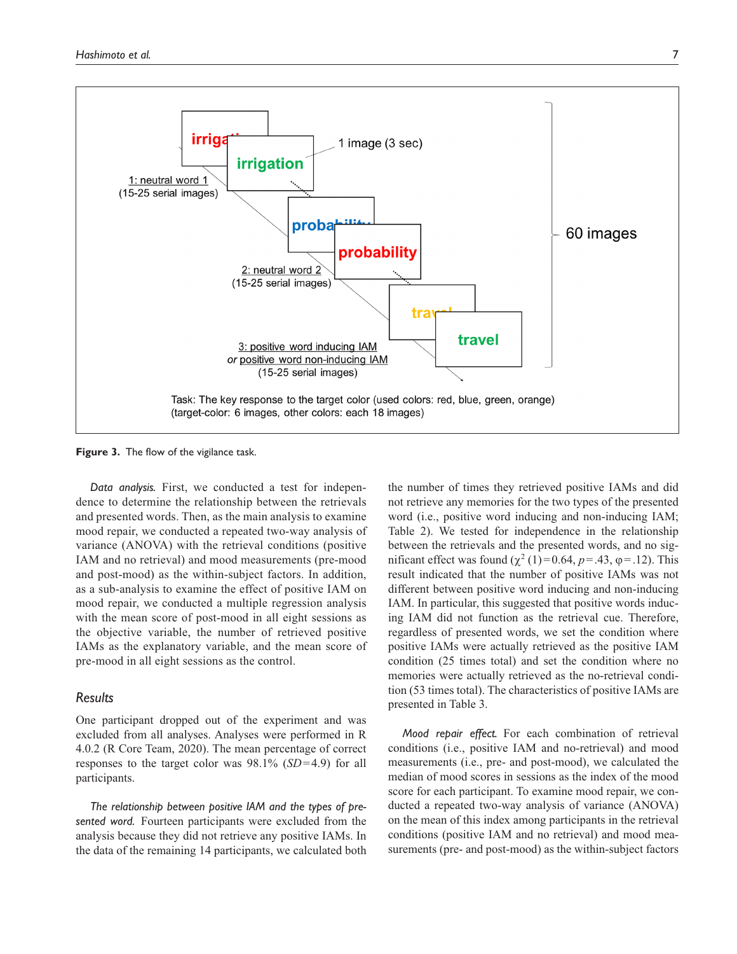

**Figure 3.** The flow of the vigilance task.

*Data analysis.* First, we conducted a test for independence to determine the relationship between the retrievals and presented words. Then, as the main analysis to examine mood repair, we conducted a repeated two-way analysis of variance (ANOVA) with the retrieval conditions (positive IAM and no retrieval) and mood measurements (pre-mood and post-mood) as the within-subject factors. In addition, as a sub-analysis to examine the effect of positive IAM on mood repair, we conducted a multiple regression analysis with the mean score of post-mood in all eight sessions as the objective variable, the number of retrieved positive IAMs as the explanatory variable, and the mean score of pre-mood in all eight sessions as the control.

## *Results*

One participant dropped out of the experiment and was excluded from all analyses. Analyses were performed in R 4.0.2 (R Core Team, 2020). The mean percentage of correct responses to the target color was 98.1% (*SD*=4.9) for all participants.

*The relationship between positive IAM and the types of presented word.* Fourteen participants were excluded from the analysis because they did not retrieve any positive IAMs. In the data of the remaining 14 participants, we calculated both

the number of times they retrieved positive IAMs and did not retrieve any memories for the two types of the presented word (i.e., positive word inducing and non-inducing IAM; Table 2). We tested for independence in the relationship between the retrievals and the presented words, and no significant effect was found  $(χ²(1)=0.64, p=.43, φ=.12)$ . This result indicated that the number of positive IAMs was not different between positive word inducing and non-inducing IAM. In particular, this suggested that positive words inducing IAM did not function as the retrieval cue. Therefore, regardless of presented words, we set the condition where positive IAMs were actually retrieved as the positive IAM condition (25 times total) and set the condition where no memories were actually retrieved as the no-retrieval condition (53 times total). The characteristics of positive IAMs are presented in Table 3.

*Mood repair effect.* For each combination of retrieval conditions (i.e., positive IAM and no-retrieval) and mood measurements (i.e., pre- and post-mood), we calculated the median of mood scores in sessions as the index of the mood score for each participant. To examine mood repair, we conducted a repeated two-way analysis of variance (ANOVA) on the mean of this index among participants in the retrieval conditions (positive IAM and no retrieval) and mood measurements (pre- and post-mood) as the within-subject factors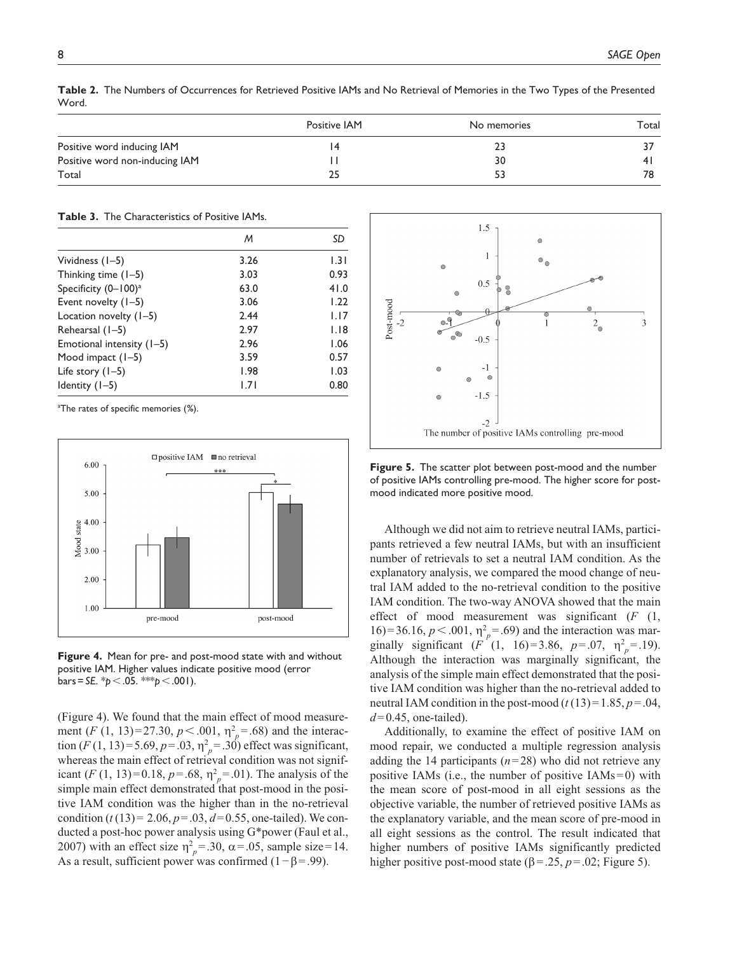|                                | <b>Positive IAM</b> | No memories | Гоtal |
|--------------------------------|---------------------|-------------|-------|
| Positive word inducing IAM     | 14                  |             |       |
| Positive word non-inducing IAM |                     | 30          |       |
| Total                          | 25                  |             | 78    |

**Table 2.** The Numbers of Occurrences for Retrieved Positive IAMs and No Retrieval of Memories in the Two Types of the Presented Word.

#### **Table 3.** The Characteristics of Positive IAMs.

|                           | M    | SD   |
|---------------------------|------|------|
| Vividness $(1-5)$         | 3.26 | 1.31 |
| Thinking time $(1-5)$     | 3.03 | 0.93 |
| Specificity $(0-100)^a$   | 63.0 | 41.0 |
| Event novelty $(1-5)$     | 3.06 | 1.22 |
| Location novelty $(1-5)$  | 2.44 | 1.17 |
| Rehearsal (1-5)           | 2.97 | 1.18 |
| Emotional intensity (1-5) | 2.96 | 1.06 |
| Mood impact $(1-5)$       | 3.59 | 0.57 |
| Life story $(1-5)$        | 1.98 | 1.03 |
| $Identity (I-5)$          | 1.71 | 0.80 |

<sup>a</sup>The rates of specific memories (%).



**Figure 4.** Mean for pre- and post-mood state with and without positive IAM. Higher values indicate positive mood (error bars=*SE*. \**p*<.05. \*\*\**p*<.001).

(Figure 4). We found that the main effect of mood measurement  $(F (1, 13)=27.30, p < .001, \eta^2_p=.68)$  and the interaction  $(F(1, 13)=5.69, p=.03, \eta^2 = .30)$  effect was significant, whereas the main effect of retrieval condition was not significant (*F* (1, 13)=0.18,  $p = .68$ ,  $\eta_p^2 = .01$ ). The analysis of the simple main effect demonstrated that post-mood in the positive IAM condition was the higher than in the no-retrieval condition  $(t(13) = 2.06, p = .03, d = 0.55$ , one-tailed). We conducted a post-hoc power analysis using G\*power (Faul et al., 2007) with an effect size  $\eta_p^2 = 0.30$ ,  $\alpha = 0.05$ , sample size = 14. As a result, sufficient power was confirmed  $(1-\beta=0.99)$ .



**Figure 5.** The scatter plot between post-mood and the number of positive IAMs controlling pre-mood. The higher score for postmood indicated more positive mood.

Although we did not aim to retrieve neutral IAMs, participants retrieved a few neutral IAMs, but with an insufficient number of retrievals to set a neutral IAM condition. As the explanatory analysis, we compared the mood change of neutral IAM added to the no-retrieval condition to the positive IAM condition. The two-way ANOVA showed that the main effect of mood measurement was significant (*F* (1, 16)=36.16,  $p < .001$ ,  $\eta_p^2 = .69$ ) and the interaction was marginally significant  $(F'(1, 16)=3.86, p=.07, \eta^2_p=.19)$ . Although the interaction was marginally significant, the analysis of the simple main effect demonstrated that the positive IAM condition was higher than the no-retrieval added to neutral IAM condition in the post-mood  $(t(13)=1.85, p=.04,$  $d=0.45$ , one-tailed).

Additionally, to examine the effect of positive IAM on mood repair, we conducted a multiple regression analysis adding the 14 participants  $(n=28)$  who did not retrieve any positive IAMs (i.e., the number of positive IAMs=0) with the mean score of post-mood in all eight sessions as the objective variable, the number of retrieved positive IAMs as the explanatory variable, and the mean score of pre-mood in all eight sessions as the control. The result indicated that higher numbers of positive IAMs significantly predicted higher positive post-mood state ( $\beta$ =.25,  $p$ =.02; Figure 5).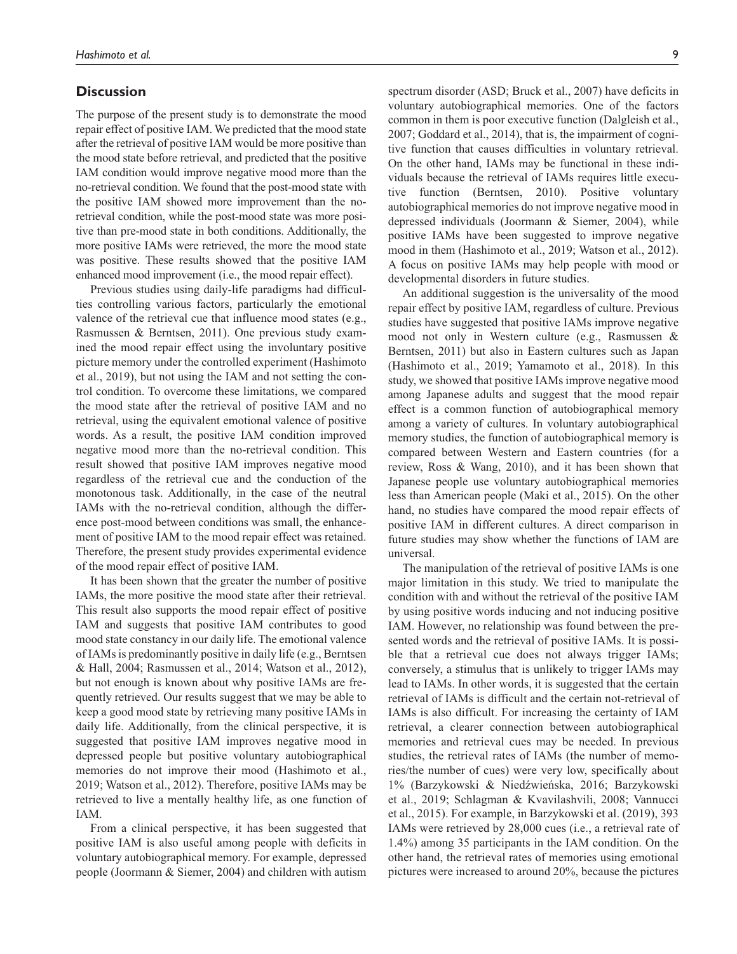# **Discussion**

The purpose of the present study is to demonstrate the mood repair effect of positive IAM. We predicted that the mood state after the retrieval of positive IAM would be more positive than the mood state before retrieval, and predicted that the positive IAM condition would improve negative mood more than the no-retrieval condition. We found that the post-mood state with the positive IAM showed more improvement than the noretrieval condition, while the post-mood state was more positive than pre-mood state in both conditions. Additionally, the more positive IAMs were retrieved, the more the mood state was positive. These results showed that the positive IAM enhanced mood improvement (i.e., the mood repair effect).

Previous studies using daily-life paradigms had difficulties controlling various factors, particularly the emotional valence of the retrieval cue that influence mood states (e.g., Rasmussen & Berntsen, 2011). One previous study examined the mood repair effect using the involuntary positive picture memory under the controlled experiment (Hashimoto et al., 2019), but not using the IAM and not setting the control condition. To overcome these limitations, we compared the mood state after the retrieval of positive IAM and no retrieval, using the equivalent emotional valence of positive words. As a result, the positive IAM condition improved negative mood more than the no-retrieval condition. This result showed that positive IAM improves negative mood regardless of the retrieval cue and the conduction of the monotonous task. Additionally, in the case of the neutral IAMs with the no-retrieval condition, although the difference post-mood between conditions was small, the enhancement of positive IAM to the mood repair effect was retained. Therefore, the present study provides experimental evidence of the mood repair effect of positive IAM.

It has been shown that the greater the number of positive IAMs, the more positive the mood state after their retrieval. This result also supports the mood repair effect of positive IAM and suggests that positive IAM contributes to good mood state constancy in our daily life. The emotional valence of IAMs is predominantly positive in daily life (e.g., Berntsen & Hall, 2004; Rasmussen et al., 2014; Watson et al., 2012), but not enough is known about why positive IAMs are frequently retrieved. Our results suggest that we may be able to keep a good mood state by retrieving many positive IAMs in daily life. Additionally, from the clinical perspective, it is suggested that positive IAM improves negative mood in depressed people but positive voluntary autobiographical memories do not improve their mood (Hashimoto et al., 2019; Watson et al., 2012). Therefore, positive IAMs may be retrieved to live a mentally healthy life, as one function of IAM.

From a clinical perspective, it has been suggested that positive IAM is also useful among people with deficits in voluntary autobiographical memory. For example, depressed people (Joormann & Siemer, 2004) and children with autism

spectrum disorder (ASD; Bruck et al., 2007) have deficits in voluntary autobiographical memories. One of the factors common in them is poor executive function (Dalgleish et al., 2007; Goddard et al., 2014), that is, the impairment of cognitive function that causes difficulties in voluntary retrieval. On the other hand, IAMs may be functional in these individuals because the retrieval of IAMs requires little executive function (Berntsen, 2010). Positive voluntary autobiographical memories do not improve negative mood in depressed individuals (Joormann & Siemer, 2004), while positive IAMs have been suggested to improve negative mood in them (Hashimoto et al., 2019; Watson et al., 2012). A focus on positive IAMs may help people with mood or developmental disorders in future studies.

An additional suggestion is the universality of the mood repair effect by positive IAM, regardless of culture. Previous studies have suggested that positive IAMs improve negative mood not only in Western culture (e.g., Rasmussen & Berntsen, 2011) but also in Eastern cultures such as Japan (Hashimoto et al., 2019; Yamamoto et al., 2018). In this study, we showed that positive IAMs improve negative mood among Japanese adults and suggest that the mood repair effect is a common function of autobiographical memory among a variety of cultures. In voluntary autobiographical memory studies, the function of autobiographical memory is compared between Western and Eastern countries (for a review, Ross & Wang, 2010), and it has been shown that Japanese people use voluntary autobiographical memories less than American people (Maki et al., 2015). On the other hand, no studies have compared the mood repair effects of positive IAM in different cultures. A direct comparison in future studies may show whether the functions of IAM are universal.

The manipulation of the retrieval of positive IAMs is one major limitation in this study. We tried to manipulate the condition with and without the retrieval of the positive IAM by using positive words inducing and not inducing positive IAM. However, no relationship was found between the presented words and the retrieval of positive IAMs. It is possible that a retrieval cue does not always trigger IAMs; conversely, a stimulus that is unlikely to trigger IAMs may lead to IAMs. In other words, it is suggested that the certain retrieval of IAMs is difficult and the certain not-retrieval of IAMs is also difficult. For increasing the certainty of IAM retrieval, a clearer connection between autobiographical memories and retrieval cues may be needed. In previous studies, the retrieval rates of IAMs (the number of memories/the number of cues) were very low, specifically about 1% (Barzykowski & Niedźwieńska, 2016; Barzykowski et al., 2019; Schlagman & Kvavilashvili, 2008; Vannucci et al., 2015). For example, in Barzykowski et al. (2019), 393 IAMs were retrieved by 28,000 cues (i.e., a retrieval rate of 1.4%) among 35 participants in the IAM condition. On the other hand, the retrieval rates of memories using emotional pictures were increased to around 20%, because the pictures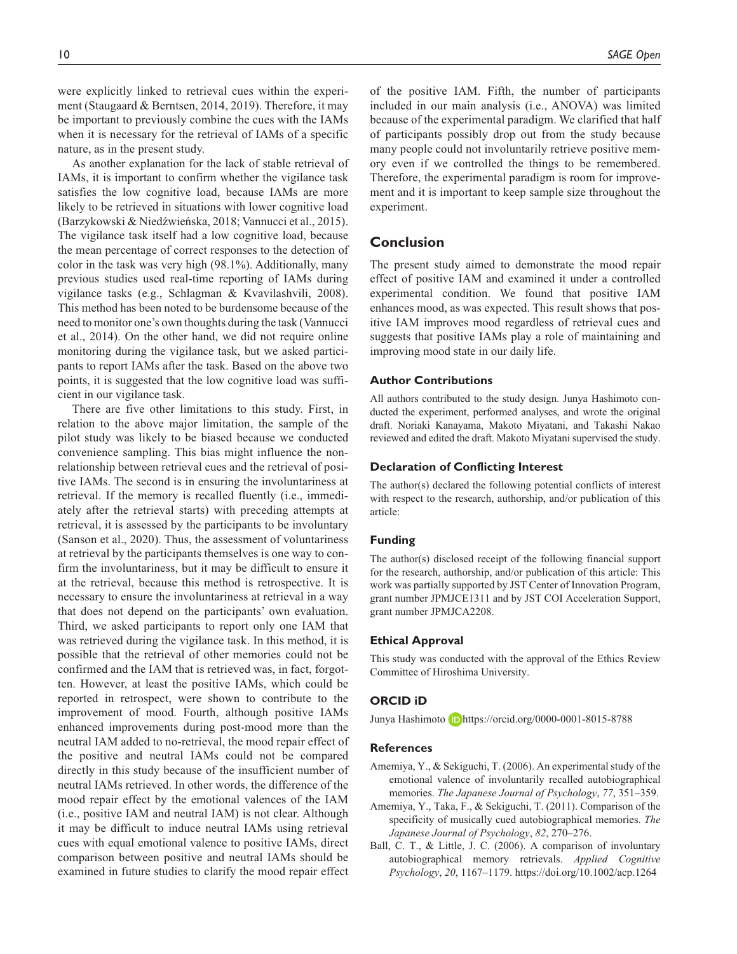were explicitly linked to retrieval cues within the experiment (Staugaard & Berntsen, 2014, 2019). Therefore, it may be important to previously combine the cues with the IAMs when it is necessary for the retrieval of IAMs of a specific nature, as in the present study.

As another explanation for the lack of stable retrieval of IAMs, it is important to confirm whether the vigilance task satisfies the low cognitive load, because IAMs are more likely to be retrieved in situations with lower cognitive load (Barzykowski & Niedźwieńska, 2018; Vannucci et al., 2015). The vigilance task itself had a low cognitive load, because the mean percentage of correct responses to the detection of color in the task was very high (98.1%). Additionally, many previous studies used real-time reporting of IAMs during vigilance tasks (e.g., Schlagman & Kvavilashvili, 2008). This method has been noted to be burdensome because of the need to monitor one's own thoughts during the task (Vannucci et al., 2014). On the other hand, we did not require online monitoring during the vigilance task, but we asked participants to report IAMs after the task. Based on the above two points, it is suggested that the low cognitive load was sufficient in our vigilance task.

There are five other limitations to this study. First, in relation to the above major limitation, the sample of the pilot study was likely to be biased because we conducted convenience sampling. This bias might influence the nonrelationship between retrieval cues and the retrieval of positive IAMs. The second is in ensuring the involuntariness at retrieval. If the memory is recalled fluently (i.e., immediately after the retrieval starts) with preceding attempts at retrieval, it is assessed by the participants to be involuntary (Sanson et al., 2020). Thus, the assessment of voluntariness at retrieval by the participants themselves is one way to confirm the involuntariness, but it may be difficult to ensure it at the retrieval, because this method is retrospective. It is necessary to ensure the involuntariness at retrieval in a way that does not depend on the participants' own evaluation. Third, we asked participants to report only one IAM that was retrieved during the vigilance task. In this method, it is possible that the retrieval of other memories could not be confirmed and the IAM that is retrieved was, in fact, forgotten. However, at least the positive IAMs, which could be reported in retrospect, were shown to contribute to the improvement of mood. Fourth, although positive IAMs enhanced improvements during post-mood more than the neutral IAM added to no-retrieval, the mood repair effect of the positive and neutral IAMs could not be compared directly in this study because of the insufficient number of neutral IAMs retrieved. In other words, the difference of the mood repair effect by the emotional valences of the IAM (i.e., positive IAM and neutral IAM) is not clear. Although it may be difficult to induce neutral IAMs using retrieval cues with equal emotional valence to positive IAMs, direct comparison between positive and neutral IAMs should be examined in future studies to clarify the mood repair effect

of the positive IAM. Fifth, the number of participants included in our main analysis (i.e., ANOVA) was limited because of the experimental paradigm. We clarified that half of participants possibly drop out from the study because many people could not involuntarily retrieve positive memory even if we controlled the things to be remembered. Therefore, the experimental paradigm is room for improvement and it is important to keep sample size throughout the experiment.

## **Conclusion**

The present study aimed to demonstrate the mood repair effect of positive IAM and examined it under a controlled experimental condition. We found that positive IAM enhances mood, as was expected. This result shows that positive IAM improves mood regardless of retrieval cues and suggests that positive IAMs play a role of maintaining and improving mood state in our daily life.

#### **Author Contributions**

All authors contributed to the study design. Junya Hashimoto conducted the experiment, performed analyses, and wrote the original draft. Noriaki Kanayama, Makoto Miyatani, and Takashi Nakao reviewed and edited the draft. Makoto Miyatani supervised the study.

#### **Declaration of Conflicting Interest**

The author(s) declared the following potential conflicts of interest with respect to the research, authorship, and/or publication of this article:

#### **Funding**

The author(s) disclosed receipt of the following financial support for the research, authorship, and/or publication of this article: This work was partially supported by JST Center of Innovation Program, grant number JPMJCE1311 and by JST COI Acceleration Support, grant number JPMJCA2208.

#### **Ethical Approval**

This study was conducted with the approval of the Ethics Review Committee of Hiroshima University.

## **ORCID iD**

Junya Hashimoto D<https://orcid.org/0000-0001-8015-8788>

## **References**

- Amemiya, Y., & Sekiguchi, T. (2006). An experimental study of the emotional valence of involuntarily recalled autobiographical memories. *The Japanese Journal of Psychology*, *77*, 351–359.
- Amemiya, Y., Taka, F., & Sekiguchi, T. (2011). Comparison of the specificity of musically cued autobiographical memories. *The Japanese Journal of Psychology*, *82*, 270–276.
- Ball, C. T., & Little, J. C. (2006). A comparison of involuntary autobiographical memory retrievals. *Applied Cognitive Psychology*, *20*, 1167–1179. <https://doi.org/10.1002/acp.1264>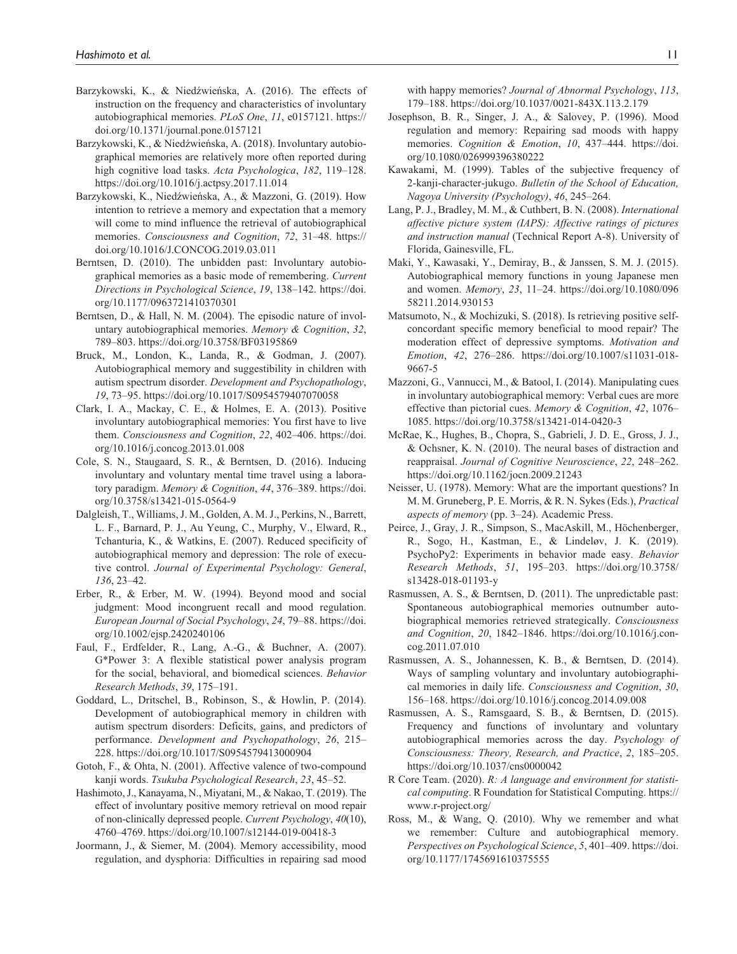- Barzykowski, K., & Niedźwieńska, A. (2016). The effects of instruction on the frequency and characteristics of involuntary autobiographical memories. *PLoS One*, *11*, e0157121. [https://](https://doi.org/10.1371/journal.pone.0157121) [doi.org/10.1371/journal.pone.0157121](https://doi.org/10.1371/journal.pone.0157121)
- Barzykowski, K., & Niedźwieńska, A. (2018). Involuntary autobiographical memories are relatively more often reported during high cognitive load tasks. *Acta Psychologica*, *182*, 119–128. <https://doi.org/10.1016/j.actpsy.2017.11.014>
- Barzykowski, K., Niedźwieńska, A., & Mazzoni, G. (2019). How intention to retrieve a memory and expectation that a memory will come to mind influence the retrieval of autobiographical memories. *Consciousness and Cognition*, *72*, 31–48. [https://](https://doi.org/10.1016/J.CONCOG.2019.03.011) [doi.org/10.1016/J.CONCOG.2019.03.011](https://doi.org/10.1016/J.CONCOG.2019.03.011)
- Berntsen, D. (2010). The unbidden past: Involuntary autobiographical memories as a basic mode of remembering. *Current Directions in Psychological Science*, *19*, 138–142. [https://doi.](https://doi.org/10.1177/0963721410370301) [org/10.1177/0963721410370301](https://doi.org/10.1177/0963721410370301)
- Berntsen, D., & Hall, N. M. (2004). The episodic nature of involuntary autobiographical memories. *Memory & Cognition*, *32*, 789–803.<https://doi.org/10.3758/BF03195869>
- Bruck, M., London, K., Landa, R., & Godman, J. (2007). Autobiographical memory and suggestibility in children with autism spectrum disorder. *Development and Psychopathology*, *19*, 73–95. <https://doi.org/10.1017/S0954579407070058>
- Clark, I. A., Mackay, C. E., & Holmes, E. A. (2013). Positive involuntary autobiographical memories: You first have to live them. *Consciousness and Cognition*, *22*, 402–406. [https://doi.](https://doi.org/10.1016/j.concog.2013.01.008) [org/10.1016/j.concog.2013.01.008](https://doi.org/10.1016/j.concog.2013.01.008)
- Cole, S. N., Staugaard, S. R., & Berntsen, D. (2016). Inducing involuntary and voluntary mental time travel using a laboratory paradigm. *Memory & Cognition*, *44*, 376–389. [https://doi.](https://doi.org/10.3758/s13421-015-0564-9) [org/10.3758/s13421-015-0564-9](https://doi.org/10.3758/s13421-015-0564-9)
- Dalgleish, T., Williams, J. M., Golden, A. M. J., Perkins, N., Barrett, L. F., Barnard, P. J., Au Yeung, C., Murphy, V., Elward, R., Tchanturia, K., & Watkins, E. (2007). Reduced specificity of autobiographical memory and depression: The role of executive control. *Journal of Experimental Psychology: General*, *136*, 23–42.
- Erber, R., & Erber, M. W. (1994). Beyond mood and social judgment: Mood incongruent recall and mood regulation. *European Journal of Social Psychology*, *24*, 79–88. [https://doi.](https://doi.org/10.1002/ejsp.2420240106) [org/10.1002/ejsp.2420240106](https://doi.org/10.1002/ejsp.2420240106)
- Faul, F., Erdfelder, R., Lang, A.-G., & Buchner, A. (2007). G\*Power 3: A flexible statistical power analysis program for the social, behavioral, and biomedical sciences. *Behavior Research Methods*, *39*, 175–191.
- Goddard, L., Dritschel, B., Robinson, S., & Howlin, P. (2014). Development of autobiographical memory in children with autism spectrum disorders: Deficits, gains, and predictors of performance. *Development and Psychopathology*, *26*, 215– 228.<https://doi.org/10.1017/S0954579413000904>
- Gotoh, F., & Ohta, N. (2001). Affective valence of two-compound kanji words. *Tsukuba Psychological Research*, *23*, 45–52.
- Hashimoto, J., Kanayama, N., Miyatani, M., & Nakao, T. (2019). The effect of involuntary positive memory retrieval on mood repair of non-clinically depressed people. *Current Psychology*, *40*(10), 4760–4769.<https://doi.org/10.1007/s12144-019-00418-3>
- Joormann, J., & Siemer, M. (2004). Memory accessibility, mood regulation, and dysphoria: Difficulties in repairing sad mood

with happy memories? *Journal of Abnormal Psychology*, *113*, 179–188.<https://doi.org/10.1037/0021-843X.113.2.179>

- Josephson, B. R., Singer, J. A., & Salovey, P. (1996). Mood regulation and memory: Repairing sad moods with happy memories. *Cognition & Emotion*, *10*, 437–444. [https://doi.](https://doi.org/10.1080/026999396380222) [org/10.1080/026999396380222](https://doi.org/10.1080/026999396380222)
- Kawakami, M. (1999). Tables of the subjective frequency of 2-kanji-character-jukugo. *Bulletin of the School of Education, Nagoya University (Psychology)*, *46*, 245–264.
- Lang, P. J., Bradley, M. M., & Cuthbert, B. N. (2008). *International affective picture system (IAPS): Affective ratings of pictures and instruction manual* (Technical Report A-8). University of Florida, Gainesville, FL.
- Maki, Y., Kawasaki, Y., Demiray, B., & Janssen, S. M. J. (2015). Autobiographical memory functions in young Japanese men and women. *Memory*, *23*, 11–24. [https://doi.org/10.1080/096](https://doi.org/10.1080/09658211.2014.930153) [58211.2014.930153](https://doi.org/10.1080/09658211.2014.930153)
- Matsumoto, N., & Mochizuki, S. (2018). Is retrieving positive selfconcordant specific memory beneficial to mood repair? The moderation effect of depressive symptoms. *Motivation and Emotion*, *42*, 276–286. [https://doi.org/10.1007/s11031-018-](https://doi.org/10.1007/s11031-018-9667-5) [9667-5](https://doi.org/10.1007/s11031-018-9667-5)
- Mazzoni, G., Vannucci, M., & Batool, I. (2014). Manipulating cues in involuntary autobiographical memory: Verbal cues are more effective than pictorial cues. *Memory & Cognition*, *42*, 1076– 1085. <https://doi.org/10.3758/s13421-014-0420-3>
- McRae, K., Hughes, B., Chopra, S., Gabrieli, J. D. E., Gross, J. J., & Ochsner, K. N. (2010). The neural bases of distraction and reappraisal. *Journal of Cognitive Neuroscience*, *22*, 248–262. <https://doi.org/10.1162/jocn.2009.21243>
- Neisser, U. (1978). Memory: What are the important questions? In M. M. Gruneberg, P. E. Morris, & R. N. Sykes (Eds.), *Practical aspects of memory* (pp. 3–24). Academic Press.
- Peirce, J., Gray, J. R., Simpson, S., MacAskill, M., Höchenberger, R., Sogo, H., Kastman, E., & Lindeløv, J. K. (2019). PsychoPy2: Experiments in behavior made easy. *Behavior Research Methods*, *51*, 195–203. [https://doi.org/10.3758/](https://doi.org/10.3758/s13428-018-01193-y) [s13428-018-01193-y](https://doi.org/10.3758/s13428-018-01193-y)
- Rasmussen, A. S., & Berntsen, D. (2011). The unpredictable past: Spontaneous autobiographical memories outnumber autobiographical memories retrieved strategically. *Consciousness and Cognition*, *20*, 1842–1846. [https://doi.org/10.1016/j.con](https://doi.org/10.1016/j.concog.2011.07.010)[cog.2011.07.010](https://doi.org/10.1016/j.concog.2011.07.010)
- Rasmussen, A. S., Johannessen, K. B., & Berntsen, D. (2014). Ways of sampling voluntary and involuntary autobiographical memories in daily life. *Consciousness and Cognition*, *30*, 156–168.<https://doi.org/10.1016/j.concog.2014.09.008>
- Rasmussen, A. S., Ramsgaard, S. B., & Berntsen, D. (2015). Frequency and functions of involuntary and voluntary autobiographical memories across the day. *Psychology of Consciousness: Theory, Research, and Practice*, *2*, 185–205. <https://doi.org/10.1037/cns0000042>
- R Core Team. (2020). *R: A language and environment for statistical computing*. R Foundation for Statistical Computing. [https://](https://www.r-project.org/) [www.r-project.org/](https://www.r-project.org/)
- Ross, M., & Wang, Q. (2010). Why we remember and what we remember: Culture and autobiographical memory. *Perspectives on Psychological Science*, *5*, 401–409. [https://doi.](https://doi.org/10.1177/1745691610375555) [org/10.1177/1745691610375555](https://doi.org/10.1177/1745691610375555)